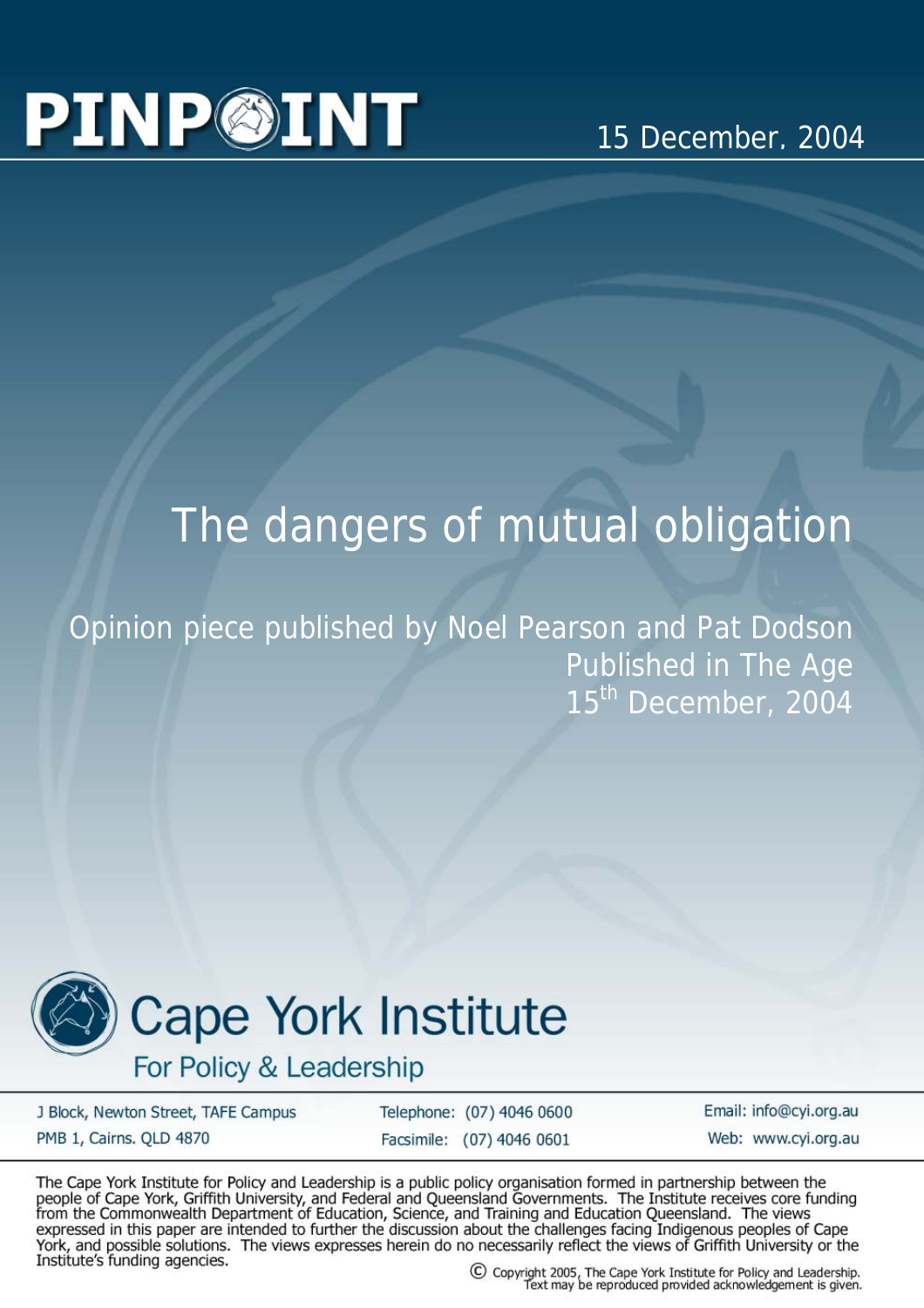## **PINP©INT**

## The dangers of mutual obligation

Opinion piece published by Noel Pearson and Pat Dodson Published in The Age 15<sup>th</sup> December, 2004



## **Cape York Institute**

For Policy & Leadership

J Block, Newton Street, TAFE Campus PMB 1, Cairns. QLD 4870

Telephone: (07) 4046 0600 Facsimile: (07) 4046 0601

Email: info@cyi.org.au Web: www.cvi.org.au

The Cape York Institute for Policy and Leadership is a public policy organisation formed in partnership between the people of Cape York, Griffith University, and Federal and Queensland Governments. The Institute receives core funding<br>from the Commonwealth Department of Education, Science, and Training and Education Queensland. The views expressed in this paper are intended to further the discussion about the challenges facing Indigenous peoples of Cape<br>York, and possible solutions. The views expresses herein do no necessarily reflect the views of Griffith Institute's funding agencies.

C Copyright 2005, The Cape York Institute for Policy and Leadership.<br>Text may be reproduced provided acknowledgement is given.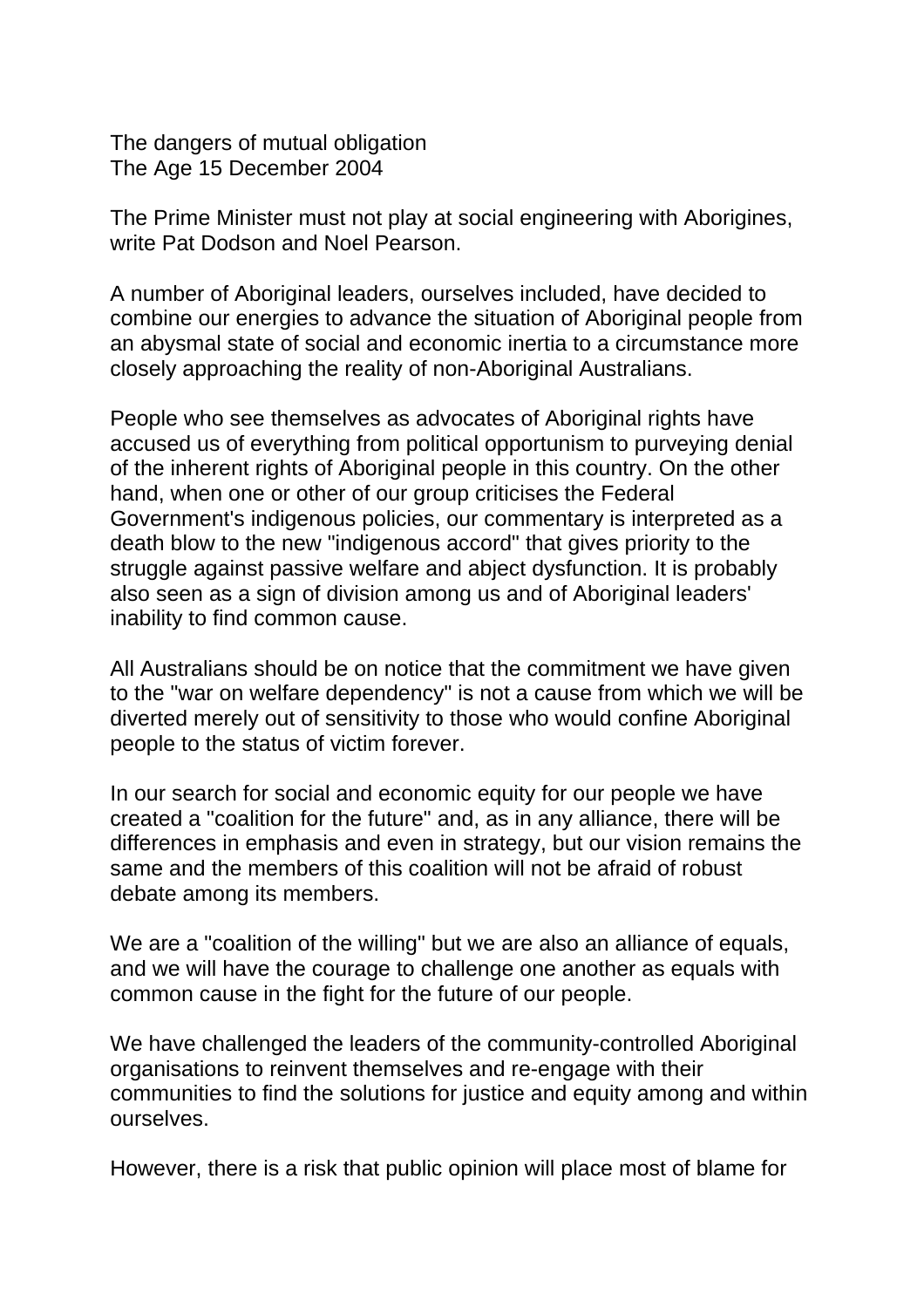The dangers of mutual obligation The Age 15 December 2004

The Prime Minister must not play at social engineering with Aborigines, write Pat Dodson and Noel Pearson.

A number of Aboriginal leaders, ourselves included, have decided to combine our energies to advance the situation of Aboriginal people from an abysmal state of social and economic inertia to a circumstance more closely approaching the reality of non-Aboriginal Australians.

People who see themselves as advocates of Aboriginal rights have accused us of everything from political opportunism to purveying denial of the inherent rights of Aboriginal people in this country. On the other hand, when one or other of our group criticises the Federal Government's indigenous policies, our commentary is interpreted as a death blow to the new "indigenous accord" that gives priority to the struggle against passive welfare and abject dysfunction. It is probably also seen as a sign of division among us and of Aboriginal leaders' inability to find common cause.

All Australians should be on notice that the commitment we have given to the "war on welfare dependency" is not a cause from which we will be diverted merely out of sensitivity to those who would confine Aboriginal people to the status of victim forever.

In our search for social and economic equity for our people we have created a "coalition for the future" and, as in any alliance, there will be differences in emphasis and even in strategy, but our vision remains the same and the members of this coalition will not be afraid of robust debate among its members.

We are a "coalition of the willing" but we are also an alliance of equals, and we will have the courage to challenge one another as equals with common cause in the fight for the future of our people.

We have challenged the leaders of the community-controlled Aboriginal organisations to reinvent themselves and re-engage with their communities to find the solutions for justice and equity among and within ourselves.

However, there is a risk that public opinion will place most of blame for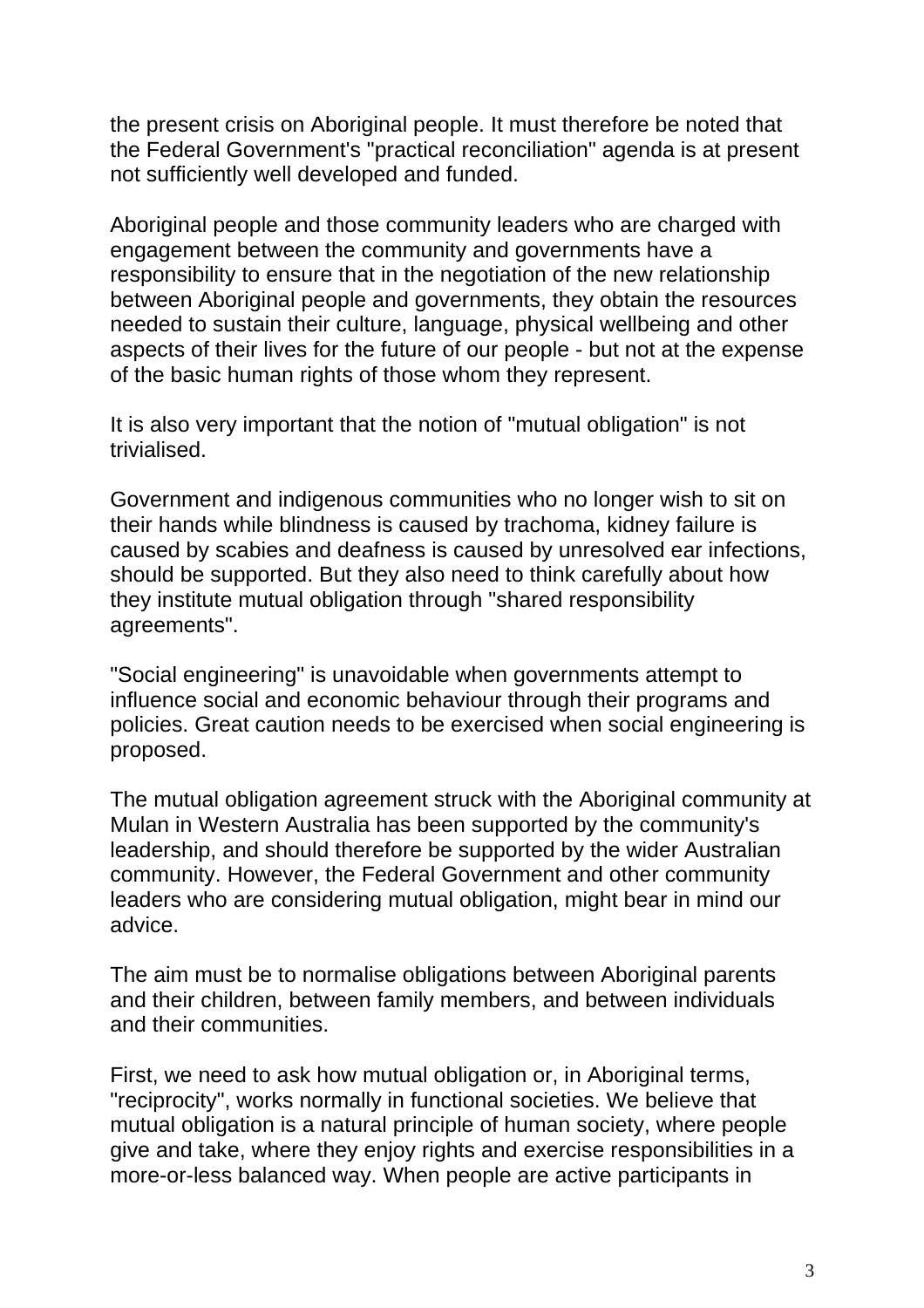the present crisis on Aboriginal people. It must therefore be noted that the Federal Government's "practical reconciliation" agenda is at present not sufficiently well developed and funded.

Aboriginal people and those community leaders who are charged with engagement between the community and governments have a responsibility to ensure that in the negotiation of the new relationship between Aboriginal people and governments, they obtain the resources needed to sustain their culture, language, physical wellbeing and other aspects of their lives for the future of our people - but not at the expense of the basic human rights of those whom they represent.

It is also very important that the notion of "mutual obligation" is not trivialised.

Government and indigenous communities who no longer wish to sit on their hands while blindness is caused by trachoma, kidney failure is caused by scabies and deafness is caused by unresolved ear infections, should be supported. But they also need to think carefully about how they institute mutual obligation through "shared responsibility agreements".

"Social engineering" is unavoidable when governments attempt to influence social and economic behaviour through their programs and policies. Great caution needs to be exercised when social engineering is proposed.

The mutual obligation agreement struck with the Aboriginal community at Mulan in Western Australia has been supported by the community's leadership, and should therefore be supported by the wider Australian community. However, the Federal Government and other community leaders who are considering mutual obligation, might bear in mind our advice.

The aim must be to normalise obligations between Aboriginal parents and their children, between family members, and between individuals and their communities.

First, we need to ask how mutual obligation or, in Aboriginal terms, "reciprocity", works normally in functional societies. We believe that mutual obligation is a natural principle of human society, where people give and take, where they enjoy rights and exercise responsibilities in a more-or-less balanced way. When people are active participants in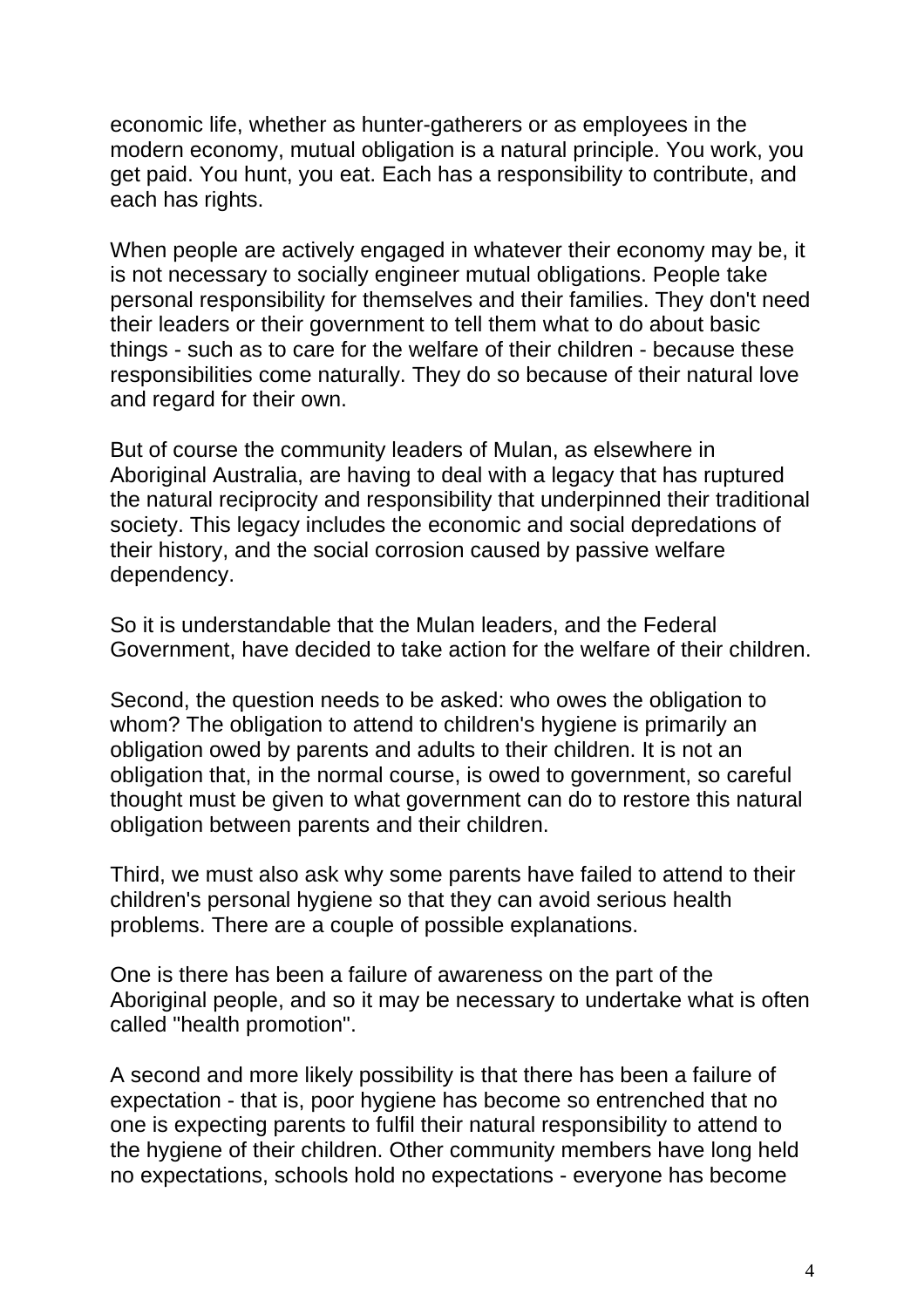economic life, whether as hunter-gatherers or as employees in the modern economy, mutual obligation is a natural principle. You work, you get paid. You hunt, you eat. Each has a responsibility to contribute, and each has rights.

When people are actively engaged in whatever their economy may be, it is not necessary to socially engineer mutual obligations. People take personal responsibility for themselves and their families. They don't need their leaders or their government to tell them what to do about basic things - such as to care for the welfare of their children - because these responsibilities come naturally. They do so because of their natural love and regard for their own.

But of course the community leaders of Mulan, as elsewhere in Aboriginal Australia, are having to deal with a legacy that has ruptured the natural reciprocity and responsibility that underpinned their traditional society. This legacy includes the economic and social depredations of their history, and the social corrosion caused by passive welfare dependency.

So it is understandable that the Mulan leaders, and the Federal Government, have decided to take action for the welfare of their children.

Second, the question needs to be asked: who owes the obligation to whom? The obligation to attend to children's hygiene is primarily an obligation owed by parents and adults to their children. It is not an obligation that, in the normal course, is owed to government, so careful thought must be given to what government can do to restore this natural obligation between parents and their children.

Third, we must also ask why some parents have failed to attend to their children's personal hygiene so that they can avoid serious health problems. There are a couple of possible explanations.

One is there has been a failure of awareness on the part of the Aboriginal people, and so it may be necessary to undertake what is often called "health promotion".

A second and more likely possibility is that there has been a failure of expectation - that is, poor hygiene has become so entrenched that no one is expecting parents to fulfil their natural responsibility to attend to the hygiene of their children. Other community members have long held no expectations, schools hold no expectations - everyone has become